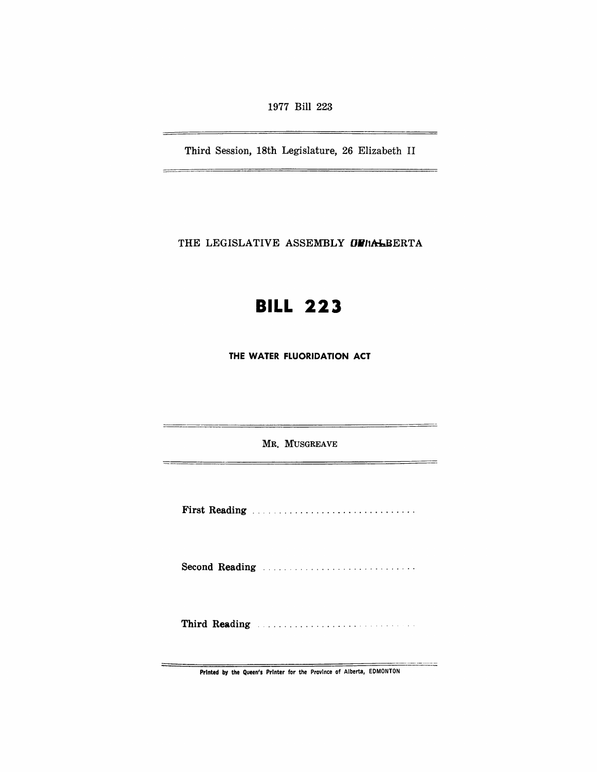1977 Bill 223

Third Session, 18th Legislature, 26 Elizabeth II

÷

L,

THE LEGISLATIVE ASSEMBLY **OFIALBERTA** 

## **BILL 223**

**THE WATER FLUORIDATION ACT** 

MR. MUSGREAVE

 $\overline{a}$ 

 $=$ 

. <u>. . . . . . . . . . .</u>

First Reading .............................. .

Second Reading ............................ .

Third Reading Manual Communications of the Reading

Printed by the Queen's Printer for the Province of Alberta, EDMONTON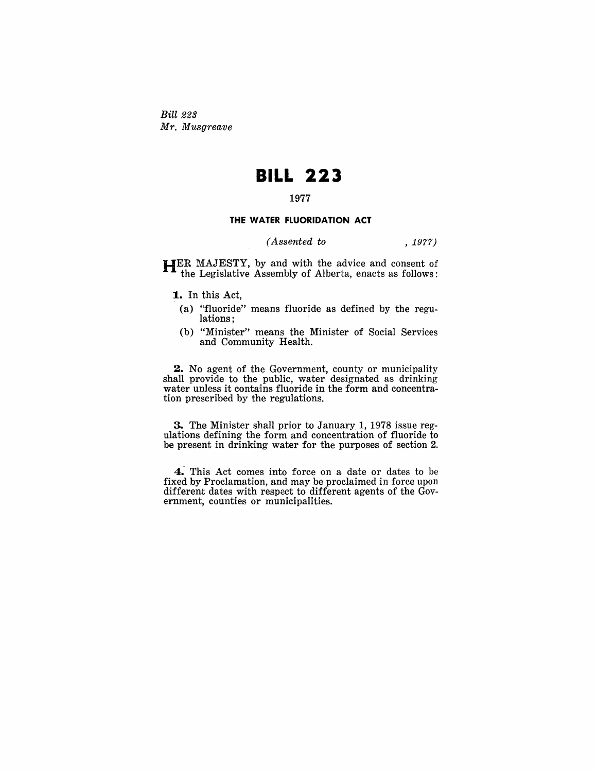Bill 223 *Mr. Musgreave* 

## **BILL 223**

## **1977**

## **THE WATER FLUORIDATION ACT**

*(Assented to* , 1977)

HER MAJESTY, by and with the advice and consent of the Legislative Assembly of Alberta, enacts as follows:

**1..** In this Act,

- (a) "fluoride" means fluoride as defined by the regulations;
- (b) "Minister" means the Minister of Social Services and Community Health.

**2.** No agent of the Government, county or municipality shall provide to the public, water designated as drinking water unless it contains fluoride in the form and concentration prescribed by the regulations.

3. The Minister shall prior to January 1, 1978 issue regulations defining the form and concentration of fluoride to be present in drinking water for the purposes of section 2.

**4:** This Act comes into force on a date or dates to be fixed by Proclamation, and may be proclaimed in force upon different dates with respect to different agents of the Government, counties or municipalities.